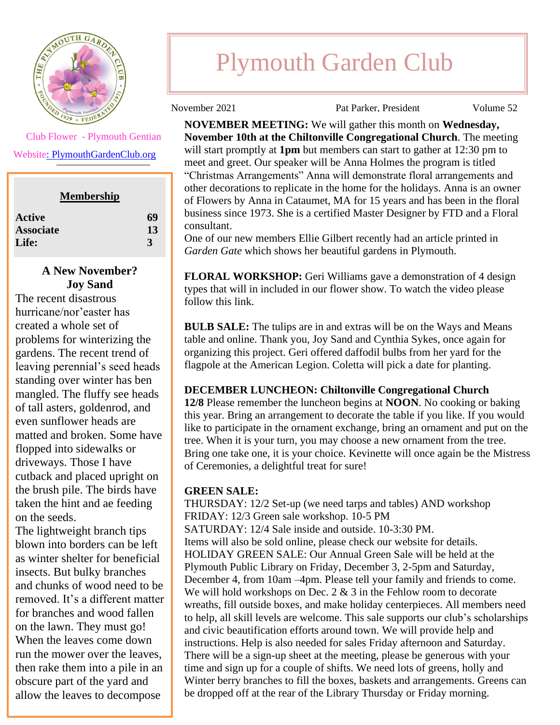

Club Flower - Plymouth Gentian

Websit[e: PlymouthGardenClub.org](https://plymouthgardenclub.org/)

#### **Membership**

| Active           | 69 |
|------------------|----|
| <b>Associate</b> | 13 |
| Life:            |    |

### **A New November? Joy Sand**

The recent disastrous hurricane/nor'easter has created a whole set of problems for winterizing the gardens. The recent trend of leaving perennial's seed heads standing over winter has ben mangled. The fluffy see heads of tall asters, goldenrod, and even sunflower heads are matted and broken. Some have flopped into sidewalks or driveways. Those I have cutback and placed upright on the brush pile. The birds have taken the hint and ae feeding on the seeds.

The lightweight branch tips blown into borders can be left as winter shelter for beneficial insects. But bulky branches and chunks of wood need to be removed. It's a different matter for branches and wood fallen on the lawn. They must go! When the leaves come down run the mower over the leaves, then rake them into a pile in an obscure part of the yard and allow the leaves to decompose

# Plymouth Garden Club

November 2021 Pat Parker, President Volume 52

**NOVEMBER MEETING:** We will gather this month on **Wednesday, November 10th at the Chiltonville Congregational Church**. The meeting will start promptly at **1pm** but members can start to gather at 12:30 pm to meet and greet. Our speaker will be Anna Holmes the program is titled "Christmas Arrangements" Anna will demonstrate floral arrangements and other decorations to replicate in the home for the holidays. Anna is an owner of Flowers by Anna in Cataumet, MA for 15 years and has been in the floral business since 1973. She is a certified Master Designer by FTD and a Floral consultant.

One of our new members Ellie Gilbert recently had an article printed in *Garden Gate* which shows her beautiful gardens in Plymouth.

**FLORAL WORKSHOP:** Geri Williams gave a demonstration of 4 design types that will in included in our flower show. To watch the video please follow this link.

**BULB SALE:** The tulips are in and extras will be on the Ways and Means table and online. Thank you, Joy Sand and Cynthia Sykes, once again for organizing this project. Geri offered daffodil bulbs from her yard for the flagpole at the American Legion. Coletta will pick a date for planting.

#### **DECEMBER LUNCHEON: Chiltonville Congregational Church**

**12/8** Please remember the luncheon begins at **NOON**. No cooking or baking this year. Bring an arrangement to decorate the table if you like. If you would like to participate in the ornament exchange, bring an ornament and put on the tree. When it is your turn, you may choose a new ornament from the tree. Bring one take one, it is your choice. Kevinette will once again be the Mistress of Ceremonies, a delightful treat for sure!

#### **GREEN SALE:**

THURSDAY: 12/2 Set-up (we need tarps and tables) AND workshop FRIDAY: 12/3 Green sale workshop. 10-5 PM SATURDAY: 12/4 Sale inside and outside. 10-3:30 PM. Items will also be sold online, please check our website for details. HOLIDAY GREEN SALE: Our Annual Green Sale will be held at the Plymouth Public Library on Friday, December 3, 2-5pm and Saturday, December 4, from 10am –4pm. Please tell your family and friends to come. We will hold workshops on Dec. 2 & 3 in the Fehlow room to decorate wreaths, fill outside boxes, and make holiday centerpieces. All members need to help, all skill levels are welcome. This sale supports our club's scholarships and civic beautification efforts around town. We will provide help and instructions. Help is also needed for sales Friday afternoon and Saturday. There will be a sign-up sheet at the meeting, please be generous with your time and sign up for a couple of shifts. We need lots of greens, holly and Winter berry branches to fill the boxes, baskets and arrangements. Greens can be dropped off at the rear of the Library Thursday or Friday morning.